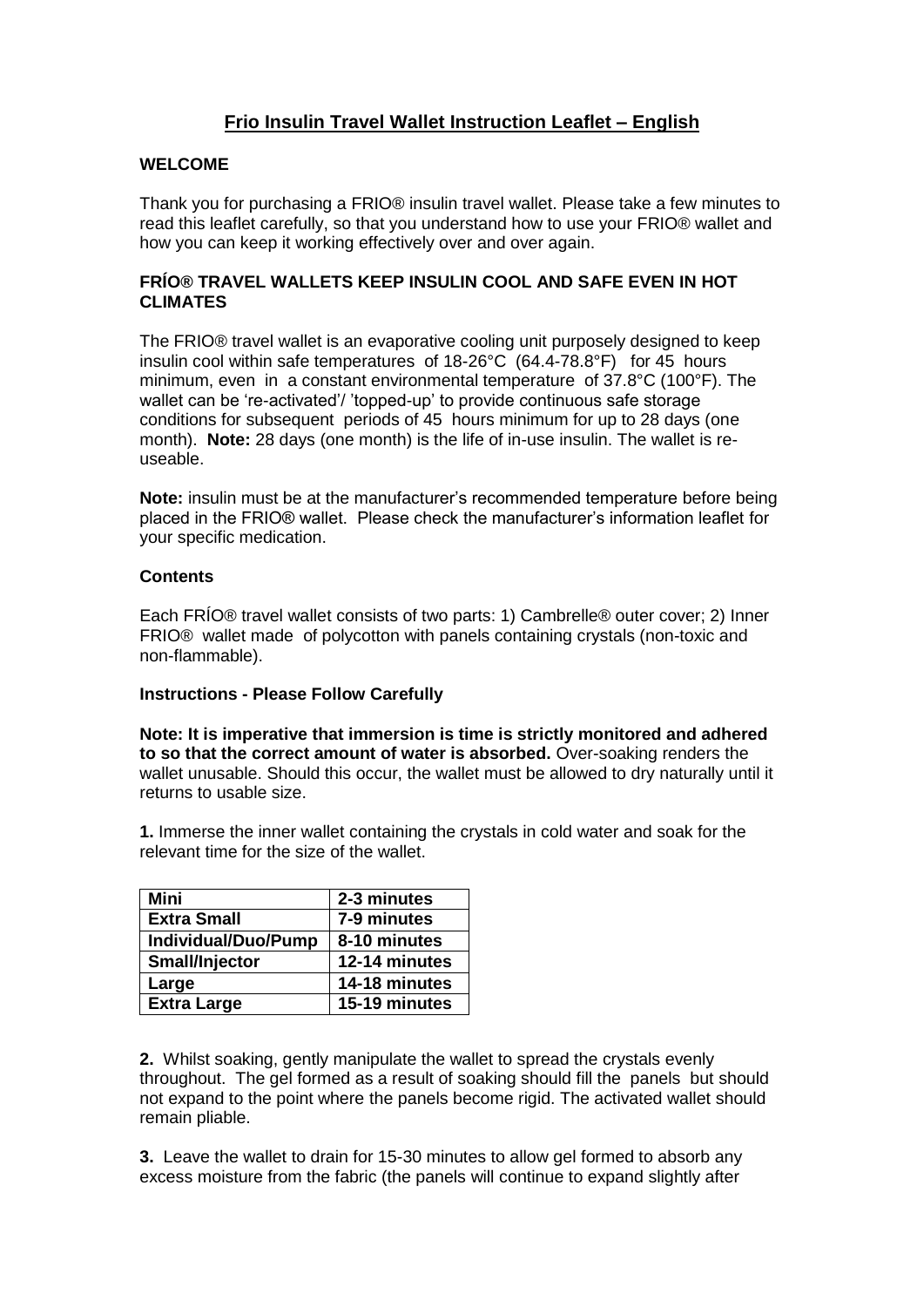# **Frio Insulin Travel Wallet Instruction Leaflet – English**

## **WELCOME**

Thank you for purchasing a FRIO® insulin travel wallet. Please take a few minutes to read this leaflet carefully, so that you understand how to use your FRIO® wallet and how you can keep it working effectively over and over again.

# **FRÍO® TRAVEL WALLETS KEEP INSULIN COOL AND SAFE EVEN IN HOT CLIMATES**

The FRIO® travel wallet is an evaporative cooling unit purposely designed to keep insulin cool within safe temperatures of 18-26°C (64.4-78.8°F) for 45 hours minimum, even in a constant environmental temperature of 37.8°C (100°F). The wallet can be 're-activated'/ 'topped-up' to provide continuous safe storage conditions for subsequent periods of 45 hours minimum for up to 28 days (one month). **Note:** 28 days (one month) is the life of in-use insulin. The wallet is reuseable.

**Note:** insulin must be at the manufacturer's recommended temperature before being placed in the FRIO® wallet. Please check the manufacturer's information leaflet for your specific medication.

## **Contents**

Each FRÍO® travel wallet consists of two parts: 1) Cambrelle® outer cover; 2) Inner FRIO® wallet made of polycotton with panels containing crystals (non-toxic and non-flammable).

#### **Instructions - Please Follow Carefully**

**Note: It is imperative that immersion is time is strictly monitored and adhered to so that the correct amount of water is absorbed.** Over-soaking renders the wallet unusable. Should this occur, the wallet must be allowed to dry naturally until it returns to usable size.

**1.** Immerse the inner wallet containing the crystals in cold water and soak for the relevant time for the size of the wallet.

| Mini                | 2-3 minutes   |
|---------------------|---------------|
| <b>Extra Small</b>  | 7-9 minutes   |
| Individual/Duo/Pump | 8-10 minutes  |
| Small/Injector      | 12-14 minutes |
| Large               | 14-18 minutes |
| <b>Extra Large</b>  | 15-19 minutes |

**2.** Whilst soaking, gently manipulate the wallet to spread the crystals evenly throughout. The gel formed as a result of soaking should fill the panels but should not expand to the point where the panels become rigid. The activated wallet should remain pliable.

**3.** Leave the wallet to drain for 15-30 minutes to allow gel formed to absorb any excess moisture from the fabric (the panels will continue to expand slightly after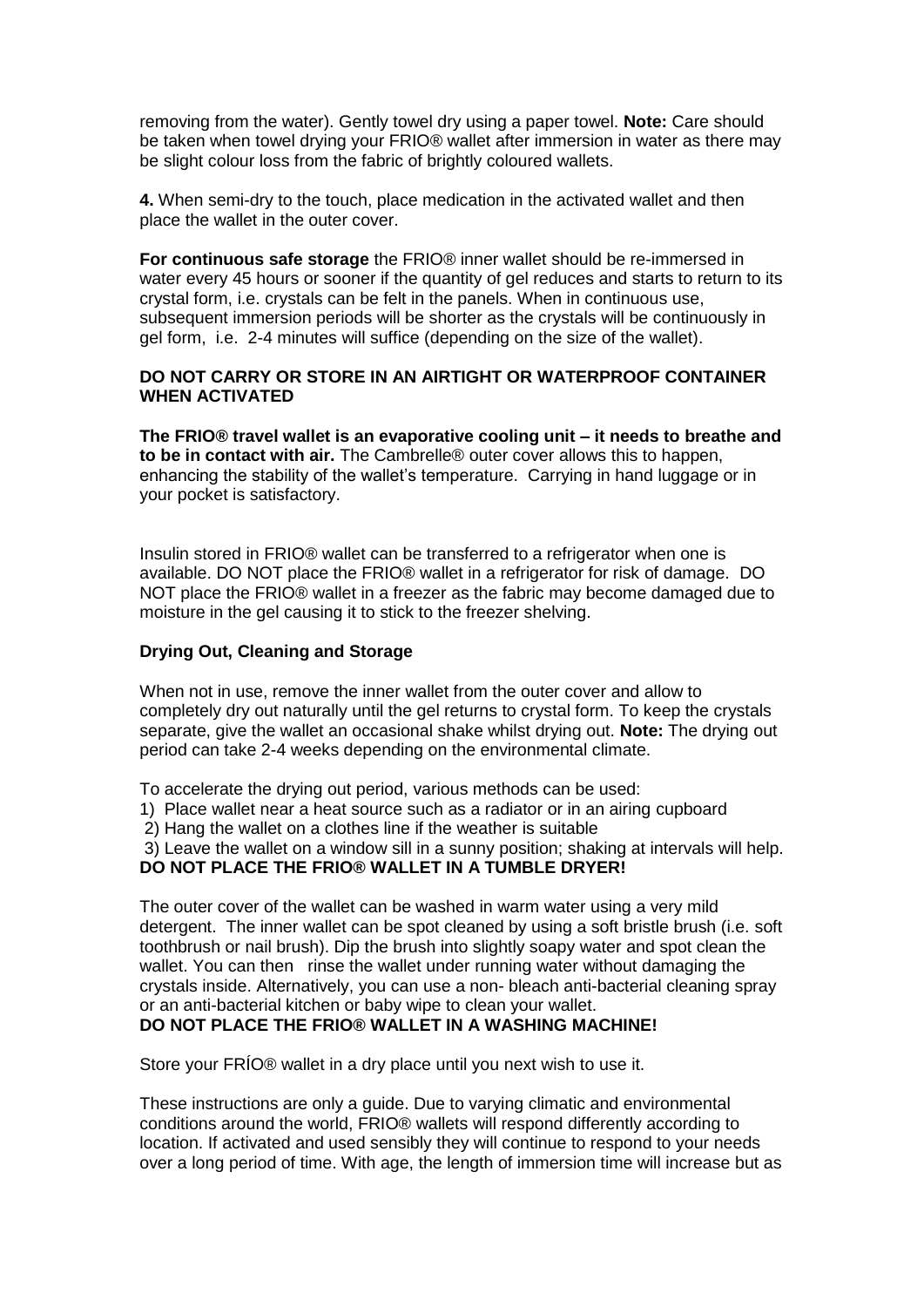removing from the water). Gently towel dry using a paper towel. **Note:** Care should be taken when towel drying your FRIO® wallet after immersion in water as there may be slight colour loss from the fabric of brightly coloured wallets.

**4.** When semi-dry to the touch, place medication in the activated wallet and then place the wallet in the outer cover.

**For continuous safe storage** the FRIO® inner wallet should be re-immersed in water every 45 hours or sooner if the quantity of gel reduces and starts to return to its crystal form, i.e. crystals can be felt in the panels. When in continuous use, subsequent immersion periods will be shorter as the crystals will be continuously in gel form, i.e. 2-4 minutes will suffice (depending on the size of the wallet).

## **DO NOT CARRY OR STORE IN AN AIRTIGHT OR WATERPROOF CONTAINER WHEN ACTIVATED**

**The FRIO® travel wallet is an evaporative cooling unit – it needs to breathe and to be in contact with air.** The Cambrelle® outer cover allows this to happen, enhancing the stability of the wallet's temperature. Carrying in hand luggage or in your pocket is satisfactory.

Insulin stored in FRIO® wallet can be transferred to a refrigerator when one is available. DO NOT place the FRIO® wallet in a refrigerator for risk of damage. DO NOT place the FRIO® wallet in a freezer as the fabric may become damaged due to moisture in the gel causing it to stick to the freezer shelving.

# **Drying Out, Cleaning and Storage**

When not in use, remove the inner wallet from the outer cover and allow to completely dry out naturally until the gel returns to crystal form. To keep the crystals separate, give the wallet an occasional shake whilst drying out. **Note:** The drying out period can take 2-4 weeks depending on the environmental climate.

To accelerate the drying out period, various methods can be used:

1) Place wallet near a heat source such as a radiator or in an airing cupboard

2) Hang the wallet on a clothes line if the weather is suitable

3) Leave the wallet on a window sill in a sunny position; shaking at intervals will help. **DO NOT PLACE THE FRIO® WALLET IN A TUMBLE DRYER!**

The outer cover of the wallet can be washed in warm water using a very mild detergent. The inner wallet can be spot cleaned by using a soft bristle brush (i.e. soft toothbrush or nail brush). Dip the brush into slightly soapy water and spot clean the wallet. You can then rinse the wallet under running water without damaging the crystals inside. Alternatively, you can use a non- bleach anti-bacterial cleaning spray or an anti-bacterial kitchen or baby wipe to clean your wallet.

## **DO NOT PLACE THE FRIO® WALLET IN A WASHING MACHINE!**

Store your FRÍO® wallet in a dry place until you next wish to use it.

These instructions are only a guide. Due to varying climatic and environmental conditions around the world, FRIO® wallets will respond differently according to location. If activated and used sensibly they will continue to respond to your needs over a long period of time. With age, the length of immersion time will increase but as